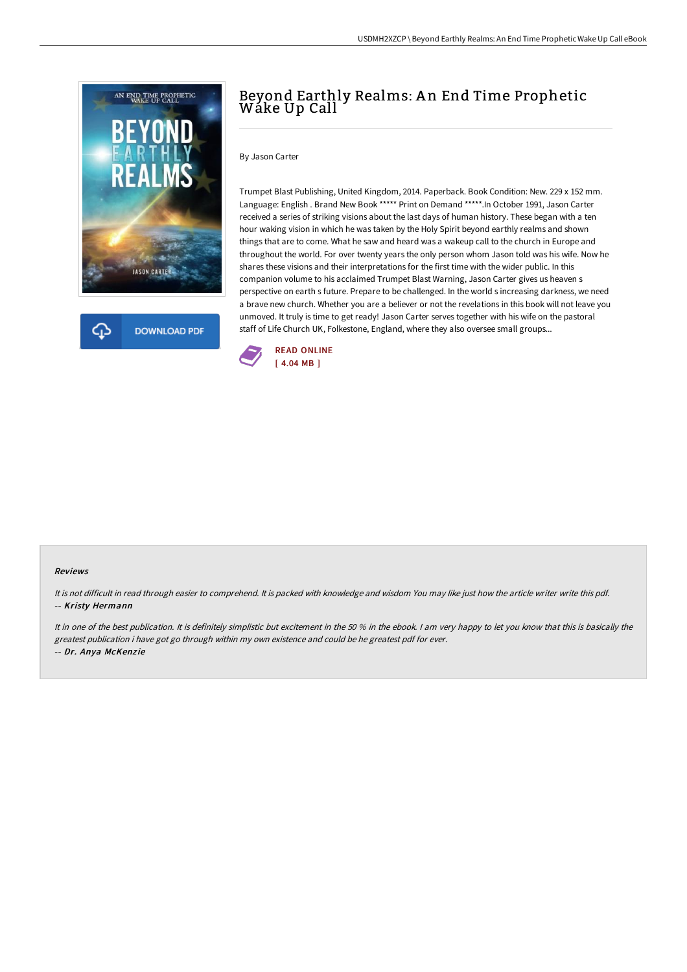

**DOWNLOAD PDF** 

# Beyond Earthly Realms: An End Time Prophetic Wake Up Call

#### By Jason Carter

Trumpet Blast Publishing, United Kingdom, 2014. Paperback. Book Condition: New. 229 x 152 mm. Language: English . Brand New Book \*\*\*\*\* Print on Demand \*\*\*\*\*.In October 1991, Jason Carter received a series of striking visions about the last days of human history. These began with a ten hour waking vision in which he was taken by the Holy Spirit beyond earthly realms and shown things that are to come. What he saw and heard was a wakeup call to the church in Europe and throughout the world. For over twenty years the only person whom Jason told was his wife. Now he shares these visions and their interpretations for the first time with the wider public. In this companion volume to his acclaimed Trumpet Blast Warning, Jason Carter gives us heaven s perspective on earth s future. Prepare to be challenged. In the world s increasing darkness, we need a brave new church. Whether you are a believer or not the revelations in this book will not leave you unmoved. It truly is time to get ready! Jason Carter serves together with his wife on the pastoral staff of Life Church UK, Folkestone, England, where they also oversee small groups...



#### Reviews

It is not difficult in read through easier to comprehend. It is packed with knowledge and wisdom You may like just how the article writer write this pdf. -- Kristy Hermann

It in one of the best publication. It is definitely simplistic but excitement in the 50 % in the ebook. I am very happy to let you know that this is basically the greatest publication i have got go through within my own existence and could be he greatest pdf for ever. -- Dr. Anya McKenzie